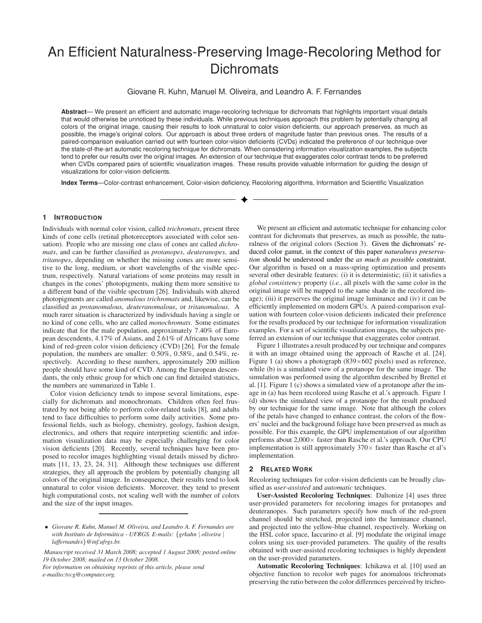# An Efficient Naturalness-Preserving Image-Recoloring Method for **Dichromats**

Giovane R. Kuhn, Manuel M. Oliveira, and Leandro A. F. Fernandes

**Abstract**— We present an efficient and automatic image-recoloring technique for dichromats that highlights important visual details that would otherwise be unnoticed by these individuals. While previous techniques approach this problem by potentially changing all colors of the original image, causing their results to look unnatural to color vision deficients, our approach preserves, as much as possible, the image's original colors. Our approach is about three orders of magnitude faster than previous ones. The results of a paired-comparison evaluation carried out with fourteen color-vision deficients (CVDs) indicated the preference of our technique over the state-of-the-art automatic recoloring technique for dichromats. When considering information visualization examples, the subjects tend to prefer our results over the original images. An extension of our technique that exaggerates color contrast tends to be preferred when CVDs compared pairs of scientific visualization images. These results provide valuable information for guiding the design of visualizations for color-vision deficients.

**Index Terms**—Color-contrast enhancement, Color-vision deficiency, Recoloring algorithms, Information and Scientific Visualization

#### **1 INTRODUCTION**

Individuals with normal color vision, called *trichromats*, present three kinds of cone cells (retinal photoreceptors associated with color sensation). People who are missing one class of cones are called *dichromats*, and can be further classified as *protanopes*, *deuteranopes*, and *tritanopes*, depending on whether the missing cones are more sensitive to the long, medium, or short wavelengths of the visible spectrum, respectively. Natural variations of some proteins may result in changes in the cones' photopigments, making them more sensitive to a different band of the visible spectrum [26]. Individuals with altered photopigments are called *anomalous trichromats* and, likewise, can be classified as *protanomalous*, *deuteranomalous*, or *tritanomalous*. A much rarer situation is characterized by individuals having a single or no kind of cone cells, who are called *monochromats*. Some estimates indicate that for the male population, approximately 7.40% of European descendents, 4.17% of Asians, and 2.61% of Africans have some kind of red-green color vision deficiency (CVD) [26]. For the female population, the numbers are smaller: 0.50%, 0.58%, and 0.54%, respectively. According to these numbers, approximately 200 million people should have some kind of CVD. Among the European descendants, the only ethnic group for which one can find detailed statistics, the numbers are summarized in Table 1.

Color vision deficiency tends to impose several limitations, especially for dichromats and monochromats. Children often feel frustrated by not being able to perform color-related tasks [8], and adults tend to face difficulties to perform some daily activities. Some professional fields, such as biology, chemistry, geology, fashion design, electronics, and others that require interpreting scientific and information visualization data may be especially challenging for color vision deficients [20]. Recently, several techniques have been proposed to recolor images highlighting visual details missed by dichromats [11, 13, 23, 24, 31]. Although these techniques use different strategies, they all approach the problem by potentially changing all colors of the original image. In consequence, their results tend to look unnatural to color vision deficients. Moreover, they tend to present high computational costs, not scaling well with the number of colors and the size of the input images.

*Manuscript received 31 March 2008; accepted 1 August 2008; posted online 19 October 2008; mailed on 13 October 2008.*

*For information on obtaining reprints of this article, please send e-mailto:tvcg@computer.org.*

We present an efficient and automatic technique for enhancing color contrast for dichromats that preserves, as much as possible, the naturalness of the original colors (Section 3). Given the dichromats' reduced color gamut, in the context of this paper *naturalness preservation* should be understood under the *as much as possible* constraint. Our algorithm is based on a mass-spring optimization and presents several other desirable features: (i) it is deterministic; (ii) it satisfies a *global consistency* property (*i.e.*, all pixels with the same color in the original image will be mapped to the same shade in the recolored image); (iii) it preserves the original image luminance and (iv) it can be efficiently implemented on modern GPUs. A paired-comparison evaluation with fourteen color-vision deficients indicated their preference for the results produced by our technique for information visualization examples. For a set of scientific visualization images, the subjects preferred an extension of our technique that exaggerates color contrast.

Figure 1 illustrates a result produced by our technique and compares it with an image obtained using the approach of Rasche et al. [24]. Figure 1 (a) shows a photograph (839×602 pixels) used as reference, while (b) is a simulated view of a protanope for the same image. The simulation was performed using the algorithm described by Brettel et al. [1]. Figure 1 (c) shows a simulated view of a protanope after the image in (a) has been recolored using Rasche et al.'s approach. Figure 1 (d) shows the simulated view of a protanope for the result produced by our technique for the same image. Note that although the colors of the petals have changed to enhance contrast, the colors of the flowers' nuclei and the background foliage have been preserved as much as possible. For this example, the GPU implementation of our algorithm performs about 2,000× faster than Rasche et al.'s approach. Our CPU implementation is still approximately  $370\times$  faster than Rasche et al's implementation.

#### **2 RELATED WORK**

Recoloring techniques for color-vision deficients can be broadly classified as *user-assisted* and *automatic* techniques.

User-Assisted Recoloring Techniques: Daltonize [4] uses three user-provided parameters for recoloring images for protanopes and deuteranopes. Such parameters specify how much of the red-green channel should be stretched, projected into the luminance channel, and projected into the yellow-blue channel, respectively. Working on the HSL color space, Iaccarino et al. [9] modulate the original image colors using six user-provided parameters. The quality of the results obtained with user-assisted recoloring techniques is highly dependent on the user-provided parameters.

Automatic Recoloring Techniques: Ichikawa et al. [10] used an objective function to recolor web pages for anomalous trichromats preserving the ratio between the color differences perceived by trichro-

*<sup>•</sup> Giovane R. Kuhn, Manuel M. Oliveira, and Leandro A. F. Fernandes are with Instituto de Inform´atica - UFRGS. E-mails: {grkuhn* | *oliveira* | *laffernandes}@inf.ufrgs.br.*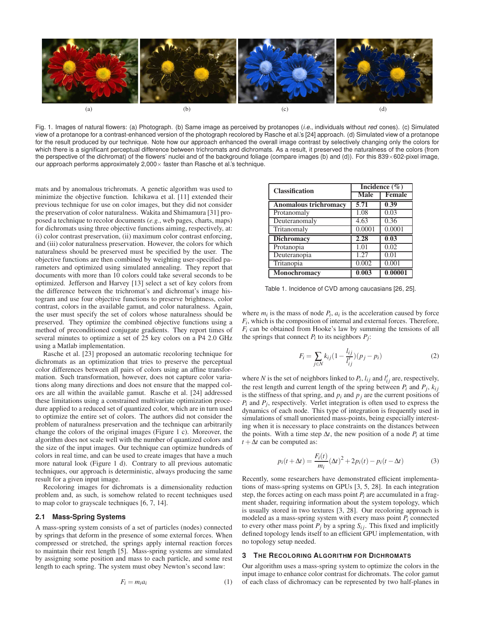

Fig. 1. Images of natural flowers: (a) Photograph. (b) Same image as perceived by protanopes (*i.e.*, individuals without *red* cones). (c) Simulated view of a protanope for a contrast-enhanced version of the photograph recolored by Rasche et al.'s [24] approach. (d) Simulated view of a protanope for the result produced by our technique. Note how our approach enhanced the overall image contrast by selectively changing only the colors for which there is a significant perceptual difference between trichromats and dichromats. As a result, it preserved the naturalness of the colors (from the perspective of the dichromat) of the flowers' nuclei and of the background foliage (compare images (b) and (d)). For this 839×602-pixel image, our approach performs approximately  $2,000 \times$  faster than Rasche et al.'s technique.

mats and by anomalous trichromats. A genetic algorithm was used to minimize the objective function. Ichikawa et al. [11] extended their previous technique for use on color images, but they did not consider the preservation of color naturalness. Wakita and Shimamura [31] proposed a technique to recolor documents (*e.g.*, web pages, charts, maps) for dichromats using three objective functions aiming, respectively, at: (i) color contrast preservation, (ii) maximum color contrast enforcing, and (iii) color naturalness preservation. However, the colors for which naturalness should be preserved must be specified by the user. The objective functions are then combined by weighting user-specified parameters and optimized using simulated annealing. They report that documents with more than 10 colors could take several seconds to be optimized. Jefferson and Harvey [13] select a set of key colors from the difference between the trichromat's and dichromat's image histogram and use four objective functions to preserve brightness, color contrast, colors in the available gamut, and color naturalness. Again, the user must specify the set of colors whose naturalness should be preserved. They optimize the combined objective functions using a method of preconditioned conjugate gradients. They report times of several minutes to optimize a set of 25 key colors on a P4 2.0 GHz using a Matlab implementation.

Rasche et al. [23] proposed an automatic recoloring technique for dichromats as an optimization that tries to preserve the perceptual color differences between all pairs of colors using an affine transformation. Such transformation, however, does not capture color variations along many directions and does not ensure that the mapped colors are all within the available gamut. Rasche et al. [24] addressed these limitations using a constrained multivariate optimization procedure applied to a reduced set of quantized color, which are in turn used to optimize the entire set of colors. The authors did not consider the problem of naturalness preservation and the technique can arbitrarily change the colors of the original images (Figure 1 c). Moreover, the algorithm does not scale well with the number of quantized colors and the size of the input images. Our technique can optimize hundreds of colors in real time, and can be used to create images that have a much more natural look (Figure 1 d). Contrary to all previous automatic techniques, our approach is deterministic, always producing the same result for a given input image.

Recoloring images for dichromats is a dimensionality reduction problem and, as such, is somehow related to recent techniques used to map color to grayscale techniques [6, 7, 14].

### **2.1 Mass-Spring Systems**

A mass-spring system consists of a set of particles (nodes) connected by springs that deform in the presence of some external forces. When compressed or stretched, the springs apply internal reaction forces to maintain their rest length [5]. Mass-spring systems are simulated by assigning some position and mass to each particle, and some rest length to each spring. The system must obey Newton's second law:

$$
F_i = m_i a_i \tag{1}
$$

| <b>Classification</b>        | Incidence $(\% )$ |               |
|------------------------------|-------------------|---------------|
|                              | <b>Male</b>       | <b>Female</b> |
| <b>Anomalous trichromacy</b> | 5.71              | 0.39          |
| Protanomaly                  | 1.08              | 0.03          |
| Deuteranomaly                | 4.63              | 0.36          |
| Tritanomaly                  | 0.0001            | 0.0001        |
| <b>Dichromacy</b>            | 2.28              | 0.03          |
| Protanopia                   | 1.01              | 0.02          |
| Deuteranopia                 | 1.27              | 0.01          |
| Tritanopia                   | 0.002             | 0.001         |
| <b>Monochromacy</b>          | 0.003             | 0.00001       |

Table 1. Incidence of CVD among caucasians [26, 25].

where  $m_i$  is the mass of node  $P_i$ ,  $a_i$  is the acceleration caused by force *Fi*, which is the composition of internal and external forces. Therefore, *Fi* can be obtained from Hooke's law by summing the tensions of all the springs that connect  $P_i$  to its neighbors  $P_j$ :

$$
F_i = \sum_{j \in N} k_{ij} (1 - \frac{l_{ij}}{l'_{ij}})(p_j - p_i)
$$
 (2)

where *N* is the set of neighbors linked to  $P_i$ ,  $l_{ij}$  and  $l'_{ij}$  are, respectively, the rest length and current length of the spring between  $P_i$  and  $P_j$ ,  $k_{ij}$ is the stiffness of that spring, and  $p_i$  and  $p_j$  are the current positions of  $P_i$  and  $P_j$ , respectively. Verlet integration is often used to express the dynamics of each node. This type of integration is frequently used in simulations of small unoriented mass-points, being especially interesting when it is necessary to place constraints on the distances between the points. With a time step  $\Delta t$ , the new position of a node  $P_i$  at time  $t + \Delta t$  can be computed as:

$$
p_i(t + \Delta t) = \frac{F_i(t)}{m_i} (\Delta t)^2 + 2p_i(t) - p_i(t - \Delta t)
$$
 (3)

Recently, some researchers have demonstrated efficient implementations of mass-spring systems on GPUs [3, 5, 28]. In each integration step, the forces acting on each mass point  $P_i$  are accumulated in a fragment shader, requiring information about the system topology, which is usually stored in two textures [3, 28]. Our recoloring approach is modeled as a mass-spring system with every mass point *Pi* connected to every other mass point  $P_j$  by a spring  $S_{ij}$ . This fixed and implicitly defined topology lends itself to an efficient GPU implementation, with no topology setup needed.

#### **3 THE RECOLORING ALGORITHM FOR DICHROMATS**

Our algorithm uses a mass-spring system to optimize the colors in the input image to enhance color contrast for dichromats. The color gamut of each class of dichromacy can be represented by two half-planes in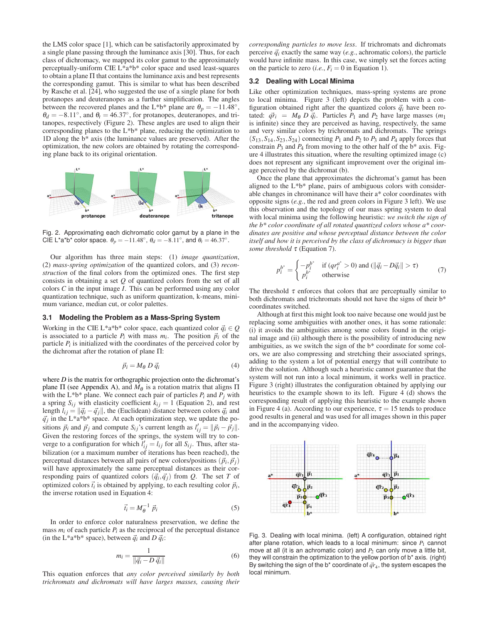the LMS color space [1], which can be satisfactorily approximated by a single plane passing through the luminance axis [30]. Thus, for each class of dichromacy, we mapped its color gamut to the approximately perceptually-uniform CIE L\*a\*b\* color space and used least-squares to obtain a plane  $\Pi$  that contains the luminance axis and best represents the corresponding gamut. This is similar to what has been described by Rasche et al. [24], who suggested the use of a single plane for both protanopes and deuteranopes as a further simplification. The angles between the recovered planes and the L\*b\* plane are  $\theta_p = -11.48°$ ,  $\theta_d = -8.11^\circ$ , and  $\theta_t = 46.37^\circ$ , for protanopes, deuteranopes, and tritanopes, respectively (Figure 2). These angles are used to align their corresponding planes to the L\*b\* plane, reducing the optimization to 1D along the b\* axis (the luminance values are preserved). After the optimization, the new colors are obtained by rotating the corresponding plane back to its original orientation.



Fig. 2. Approximating each dichromatic color gamut by a plane in the CIE L\*a\*b\* color space.  $\theta_p = -11.48^\circ$ ,  $\theta_d = -8.11^\circ$ , and  $\theta_t = 46.37^\circ$ .

Our algorithm has three main steps: (1) *image quantization*, (2) *mass-spring optimization* of the quantized colors, and (3) *reconstruction* of the final colors from the optimized ones. The first step consists in obtaining a set *Q* of quantized colors from the set of all colors *C* in the input image *I*. This can be performed using any color quantization technique, such as uniform quantization, k-means, minimum variance, median cut, or color palettes.

#### **3.1 Modeling the Problem as a Mass-Spring System**

Working in the CIE L\*a\*b\* color space, each quantized color  $\vec{q}_i \in Q$ is associated to a particle  $P_i$  with mass  $m_i$ . The position  $\vec{p}_i$  of the particle  $P_i$  is initialized with the coordinates of the perceived color by the dichromat after the rotation of plane Π:

$$
\vec{p}_i = M_\theta \ D \ \vec{q}_i \tag{4}
$$

where *D* is the matrix for orthographic projection onto the dichromat's plane Π (see Appendix A), and  $M<sub>θ</sub>$  is a rotation matrix that aligns Π with the  $L^*b^*$  plane. We connect each pair of particles  $P_i$  and  $P_j$  with a spring  $S_{ij}$  with elasticity coefficient  $k_{ij} = 1$  (Equation 2), and rest length  $l_{ij} = ||\vec{q}_i - \vec{q}_j||$ , the (Euclidean) distance between colors  $\vec{q}_i$  and  $\vec{q}_j$  in the L\*a\*b\* space. At each optimization step, we update the positions  $\vec{p}_i$  and  $\vec{p}_j$  and compute  $S_{ij}$ 's current length as  $l'_{ij} = ||\vec{p}_i - \vec{p}_j||$ . Given the restoring forces of the springs, the system will try to converge to a configuration for which  $l'_{ij} = l_{ij}$  for all  $S_{ij}$ . Thus, after stabilization (or a maximum number of iterations has been reached), the perceptual distances between all pairs of new colors/positions  $(\vec{p}_i, \vec{p}_j)$ will have approximately the same perceptual distances as their corresponding pairs of quantized colors  $(\vec{q}_i, \vec{q}_j)$  from *Q*. The set *T* of optimized colors  $\vec{t}_i$  is obtained by applying, to each resulting color  $\vec{p}_i$ , the inverse rotation used in Equation 4:

$$
\vec{t}_i = M_\theta^{-1} \ \vec{p}_i \tag{5}
$$

In order to enforce color naturalness preservation, we define the mass  $m_i$  of each particle  $P_i$  as the reciprocal of the perceptual distance  $(in$  the L<sup>\*</sup>a<sup>\*</sup>b<sup>\*</sup> space), between  $\vec{q}_i$  and *D*  $\vec{q}_i$ :

$$
m_i = \frac{1}{\|\vec{q}_i - D\,\vec{q}_i\|} \tag{6}
$$

This equation enforces that *any color perceived similarly by both trichromats and dichromats will have larges masses, causing their* *corresponding particles to move less*. If trichromats and dichromats perceive  $\vec{q}_i$  exactly the same way (*e.g.*, achromatic colors), the particle would have infinite mass. In this case, we simply set the forces acting on the particle to zero (*i.e.*,  $F_i = 0$  in Equation 1).

## **3.2 Dealing with Local Minima**

Like other optimization techniques, mass-spring systems are prone to local minima. Figure 3 (left) depicts the problem with a configuration obtained right after the quantized colors  $\vec{q}_i$  have been rotated:  $\vec{qr}_i = M_\theta D \vec{q}_i$ . Particles  $P_1$  and  $P_2$  have large masses  $(m_1)$ is infinite) since they are perceived as having, respectively, the same and very similar colors by trichromats and dichromats. The springs  $(S_{13}, S_{14}, S_{23}, S_{24})$  connecting  $P_1$  and  $P_2$  to  $P_3$  and  $P_4$  apply forces that constrain  $P_3$  and  $P_4$  from moving to the other half of the  $b^*$  axis. Figure 4 illustrates this situation, where the resulting optimized image (c) does not represent any significant improvement over the original image perceived by the dichromat (b).

Once the plane that approximates the dichromat's gamut has been aligned to the L\*b\* plane, pairs of ambiguous colors with considerable changes in chrominance will have their a\* color coordinates with opposite signs (*e.g.*, the red and green colors in Figure 3 left). We use this observation and the topology of our mass spring system to deal with local minima using the following heuristic: *we switch the sign of the b\* color coordinate of all rotated quantized colors whose a\* coordinates are positive and whose perceptual distance between the color itself and how it is perceived by the class of dichromacy is bigger than some threshold* τ (Equation 7).

$$
p_i^{b^*} = \begin{cases} -p_i^{b^*} & \text{if } (q r_i^{a^*} > 0) \text{ and } (\|\vec{q}_i - D\vec{q}_i\| > \tau) \\ p_i^{b^*} & \text{otherwise} \end{cases} \tag{7}
$$

The threshold  $\tau$  enforces that colors that are perceptually similar to both dichromats and trichromats should not have the signs of their b\* coordinates switched.

Although at first this might look too naive because one would just be replacing some ambiguities with another ones, it has some rationale: (i) it avoids the ambiguities among some colors found in the original image and (ii) although there is the possibility of introducing new ambiguities, as we switch the sign of the b\* coordinate for some colors, we are also compressing and stretching their associated springs, adding to the system a lot of potential energy that will contribute to drive the solution. Although such a heuristic cannot guarantee that the system will not run into a local minimum, it works well in practice. Figure 3 (right) illustrates the configuration obtained by applying our heuristics to the example shown to its left. Figure 4 (d) shows the corresponding result of applying this heuristic to the example shown in Figure 4 (a). According to our experience,  $\tau = 15$  tends to produce good results in general and was used for all images shown in this paper and in the accompanying video.



Fig. 3. Dealing with local minima. (left) A configuration, obtained right after plane rotation, which leads to a local minimum: since  $P_1$  cannot move at all (it is an achromatic color) and  $P_2$  can only move a little bit, they will constrain the optimization to the yellow portion of b\* axis. (right) By switching the sign of the b\* coordinate of  $\vec{q}r_4$ , the system escapes the local minimum.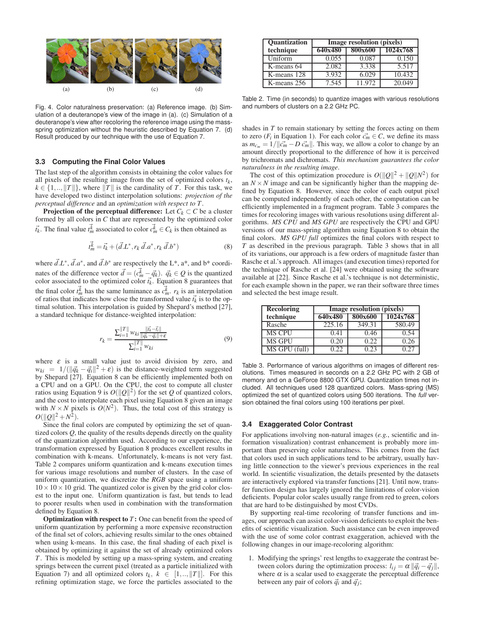

Fig. 4. Color naturalness preservation: (a) Reference image. (b) Simulation of a deuteranope's view of the image in (a). (c) Simulation of a deuteranope's view after recoloring the reference image using the massspring optimization without the heuristic described by Equation 7. (d) Result produced by our technique with the use of Equation 7.

### **3.3 Computing the Final Color Values**

The last step of the algorithm consists in obtaining the color values for all pixels of the resulting image from the set of optimized colors  $t_k$ ,  $k \in \{1, \ldots, \|T\|\}$ , where  $\|T\|$  is the cardinality of *T*. For this task, we have developed two distinct interpolation solutions: *projection of the perceptual difference* and an *optimization with respect to T*.

**Projection of the perceptual difference:** Let  $C_k \subset C$  be a cluster formed by all colors in *C* that are represented by the optimized color  $\vec{r_k}$ . The final value  $\vec{r_m}$  associated to color  $\vec{c_m} \in C_k$  is then obtained as

$$
\vec{t_m} = \vec{t_k} + (\vec{d} \cdot L^* , r_k \vec{d} \cdot a^* , r_k \vec{d} \cdot b^*)
$$
\n(8)

where  $\vec{d}$ .  $L^*$ ,  $\vec{d}$ .  $a^*$ , and  $\vec{d}$ .  $b^*$  are respectively the L<sup>\*</sup>, a<sup>\*</sup>, and b<sup>\*</sup> coordinates of the difference vector  $\vec{d} = (\vec{c}_m^{\vec{k}} - \vec{q}_k)$ .  $\vec{q}_k \in Q$  is the quantized color associated to the optimized color  $\vec{t}_k$ . Equation 8 guarantees that the final color  $t_m^{\vec{k}}$  has the same luminance as  $c_m^{\vec{k}}$ .  $r_k$  is an interpolation of ratios that indicates how close the transformed value  $\vec{t}_k$  is to the optimal solution. This interpolation is guided by Shepard's method [27], a standard technique for distance-weighted interpolation:

$$
r_{k} = \frac{\sum_{i=1}^{||T||} w_{ki} \frac{||\vec{r}_{k} - \vec{r}_{i}||}{||\vec{q}_{k} - \vec{q}_{i}|| + \varepsilon}}{\sum_{i=1}^{||T||} w_{ki}}
$$
(9)

where  $\varepsilon$  is a small value just to avoid division by zero, and  $w_{ki} = 1/(||\vec{q}_k - \vec{q}_i||^2 + \varepsilon)$  is the distance-weighted term suggested by Shepard [27]. Equation 8 can be efficiently implemented both on a CPU and on a GPU. On the CPU, the cost to compute all cluster ratios using Equation 9 is  $O(||Q||^2)$  for the set *Q* of quantized colors, and the cost to interpolate each pixel using Equation 8 given an image with  $N \times N$  pixels is  $O(N^2)$ . Thus, the total cost of this strategy is  $O(||Q||^2 + N^2)$ .

Since the final colors are computed by optimizing the set of quantized colors *Q*, the quality of the results depends directly on the quality of the quantization algorithm used. According to our experience, the transformation expressed by Equation 8 produces excellent results in combination with k-means. Unfortunately, k-means is not very fast. Table 2 compares uniform quantization and k-means execution times for various image resolutions and number of clusters. In the case of uniform quantization, we discretize the *RGB* space using a uniform  $10 \times 10 \times 10$  grid. The quantized color is given by the grid color closest to the input one. Uniform quantization is fast, but tends to lead to poorer results when used in combination with the transformation defined by Equation 8.

Optimization with respect to *T* : One can benefit from the speed of uniform quantization by performing a more expensive reconstruction of the final set of colors, achieving results similar to the ones obtained when using k-means. In this case, the final shading of each pixel is obtained by optimizing it against the set of already optimized colors *T*. This is modeled by setting up a mass-spring system, and creating springs between the current pixel (treated as a particle initialized with Equation 7) and all optimized colors  $t_k$ ,  $k \in [1, \ldots, ||T||]$ . For this refining optimization stage, we force the particles associated to the

| <b>Ouantization</b> | Image resolution (pixels) |         |                     |  |
|---------------------|---------------------------|---------|---------------------|--|
| technique           | 640x480                   | 800x600 | 1024x768            |  |
| Uniform             | 0.055                     | 0.087   | 0.150               |  |
| K-means 64          | 2.082                     | 3.338   | 5.517               |  |
| K-means 128         | 3.932                     | 6.029   | $10.43\overline{2}$ |  |
| K-means 256         | 7.545                     | 11.972  | 20.049              |  |

Table 2. Time (in seconds) to quantize images with various resolutions and numbers of clusters on a 2.2 GHz PC.

shades in *T* to remain stationary by setting the forces acting on them to zero ( $F_i$  in Equation 1). For each color  $\vec{c_m} \in \mathcal{C}$ , we define its mass as  $m_{c_m} = 1/||\vec{c_m} - D \vec{c_m}||$ . This way, we allow a color to change by an amount directly proportional to the difference of how it is perceived by trichromats and dichromats. *This mechanism guarantees the color naturalness in the resulting image*.

The cost of this optimization procedure is  $O(||Q||^2 + ||Q||N^2)$  for an  $N \times N$  image and can be significantly higher than the mapping defined by Equation 8. However, since the color of each output pixel can be computed independently of each other, the computation can be efficiently implemented in a fragment program. Table 3 compares the times for recoloring images with various resolutions using different algorithms. *MS CPU* and *MS GPU* are respectively the CPU and GPU versions of our mass-spring algorithm using Equation 8 to obtain the final colors. *MS GPU full* optimizes the final colors with respect to *T* as described in the previous paragraph. Table 3 shows that in all of its variations, our approach is a few orders of magnitude faster than Rasche et al.'s approach. All images (and execution times) reported for the technique of Rasche et al. [24] were obtained using the software available at [22]. Since Rasche et al.'s technique is not deterministic, for each example shown in the paper, we ran their software three times and selected the best image result.

| <b>Recoloring</b> | Image resolution (pixels) |         |          |  |
|-------------------|---------------------------|---------|----------|--|
| technique         | 640x480                   | 800x600 | 1024x768 |  |
| Rasche            | 225.16                    | 349.31  | 580.49   |  |
| <b>MS CPU</b>     | 0.41                      | 0.46    | 0.54     |  |
| <b>MS GPU</b>     | 0.20                      | 0.22.   | 0.26     |  |
| MS GPU (full)     | N 22                      | 0.23    | n 25     |  |

Table 3. Performance of various algorithms on images of different resolutions. Times measured in seconds on a 2.2 GHz PC with 2 GB of memory and on a GeForce 8800 GTX GPU. Quantization times not included. All techniques used 128 quantized colors. Mass-spring (MS) optimized the set of quantized colors using 500 iterations. The *full* version obtained the final colors using 100 iterations per pixel.

#### **3.4 Exaggerated Color Contrast**

For applications involving non-natural images (*e.g.*, scientific and information visualization) contrast enhancement is probably more important than preserving color naturalness. This comes from the fact that colors used in such applications tend to be arbitrary, usually having little connection to the viewer's previous experiences in the real world. In scientific visualization, the details presented by the datasets are interactively explored via transfer functions [21]. Until now, transfer function design has largely ignored the limitations of color-vision deficients. Popular color scales usually range from red to green, colors that are hard to be distinguished by most CVDs.

By supporting real-time recoloring of transfer functions and images, our approach can assist color-vision deficients to exploit the benefits of scientific visualization. Such assistance can be even improved with the use of some color contrast exaggeration, achieved with the following changes in our image-recoloring algorithm:

1. Modifying the springs' rest lengths to exaggerate the contrast between colors during the optimization process:  $l_{ij} = \alpha ||\vec{q}_i - \vec{q}_j||$ , where  $\alpha$  is a scalar used to exaggerate the perceptual difference between any pair of colors  $\vec{q}_i$  and  $\vec{q}_j$ ;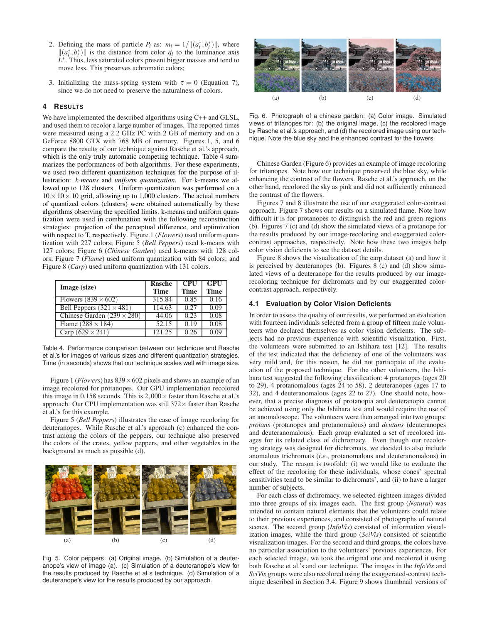- 2. Defining the mass of particle  $P_i$  as:  $m_i = 1/||(a_i^*, b_i^*)||$ , where  $\|(a_i^*, b_i^*)\|$  is the distance from color  $\vec{q}_i$  to the luminance axis *L*∗. Thus, less saturated colors present bigger masses and tend to move less. This preserves achromatic colors;
- 3. Initializing the mass-spring system with  $\tau = 0$  (Equation 7), since we do not need to preserve the naturalness of colors.

## **4 RESULTS**

We have implemented the described algorithms using C++ and GLSL, and used them to recolor a large number of images. The reported times were measured using a 2.2 GHz PC with 2 GB of memory and on a GeForce 8800 GTX with 768 MB of memory. Figures 1, 5, and 6 compare the results of our technique against Rasche et al.'s approach, which is the only truly automatic competing technique. Table 4 summarizes the performances of both algorithms. For these experiments, we used two different quantization techniques for the purpose of illustration: *k-means* and *uniform quantization*. For k-means we allowed up to 128 clusters. Uniform quantization was performed on a  $10 \times 10 \times 10$  grid, allowing up to 1,000 clusters. The actual numbers of quantized colors (clusters) were obtained automatically by these algorithms observing the specified limits. k-means and uniform quantization were used in combination with the following reconstruction strategies: projection of the perceptual difference, and optimization with respect to T, respectively. Figure 1 (*Flowers*) used uniform quantization with 227 colors; Figure 5 (*Bell Peppers*) used k-means with 127 colors; Figure 6 (*Chinese Garden*) used k-means with 128 colors; Figure 7 (*Flame*) used uniform quantization with 84 colors; and Figure 8 (*Carp*) used uniform quantization with 131 colors.

| Image (size)                      | <b>Rasche</b><br><b>Time</b> | <b>CPU</b><br><b>Time</b> | <b>GPU</b><br><b>Time</b> |
|-----------------------------------|------------------------------|---------------------------|---------------------------|
| Flowers $(839 \times 602)$        | 315.84                       | 0.85                      | 0.16                      |
| Bell Peppers (321 $\times$ 481)   | 114.63                       | 0.27                      | 0.09                      |
| Chinese Garden $(239 \times 280)$ | 44.06                        | 0.23                      | 0.08                      |
| Flame $(288 \times 184)$          | 52.15                        | 0.19                      | 0.08                      |
| $(629 \times 241)$<br>Carp        | 121.25                       | 0.26                      | 0.09                      |

Table 4. Performance comparison between our technique and Rasche et al.'s for images of various sizes and different quantization strategies. Time (in seconds) shows that our technique scales well with image size.

Figure 1 ( $Flowers$ ) has  $839 \times 602$  pixels and shows an example of an image recolored for protanopes. Our GPU implementation recolored this image in 0.158 seconds. This is  $2,000\times$  faster than Rasche et al.'s approach. Our CPU implementation was still  $372\times$  faster than Rasche et al.'s for this example.

Figure 5 (*Bell Peppers*) illustrates the case of image recoloring for deuteranopes. While Rasche et al.'s approach (c) enhanced the contrast among the colors of the peppers, our technique also preserved the colors of the crates, yellow peppers, and other vegetables in the background as much as possible (d).



Fig. 5. Color peppers: (a) Original image. (b) Simulation of a deuteranope's view of image (a). (c) Simulation of a deuteranope's view for the results produced by Rasche et al.'s technique. (d) Simulation of a deuteranope's view for the results produced by our approach.



Fig. 6. Photograph of a chinese garden: (a) Color image. Simulated views of tritanopes for: (b) the original image, (c) the recolored image by Rasche et al.'s approach, and (d) the recolored image using our technique. Note the blue sky and the enhanced contrast for the flowers.

Chinese Garden (Figure 6) provides an example of image recoloring for tritanopes. Note how our technique preserved the blue sky, while enhancing the contrast of the flowers. Rasche et al.'s approach, on the other hand, recolored the sky as pink and did not sufficiently enhanced the contrast of the flowers.

Figures 7 and 8 illustrate the use of our exaggerated color-contrast approach. Figure 7 shows our results on a simulated flame. Note how difficult it is for protanopes to distinguish the red and green regions (b). Figures 7 (c) and (d) show the simulated views of a protanope for the results produced by our image-recoloring and exaggerated colorcontrast approaches, respectively. Note how these two images help color vision deficients to see the dataset details.

Figure 8 shows the visualization of the carp dataset (a) and how it is perceived by deuteranopes (b). Figures 8 (c) and (d) show simulated views of a deuteranope for the results produced by our imagerecoloring technique for dichromats and by our exaggerated colorcontrast approach, respectively.

#### **4.1 Evaluation by Color Vision Deficients**

In order to assess the quality of our results, we performed an evaluation with fourteen individuals selected from a group of fifteen male volunteers who declared themselves as color vision deficients. The subjects had no previous experience with scientific visualization. First, the volunteers were submitted to an Ishihara test [12]. The results of the test indicated that the deficiency of one of the volunteers was very mild and, for this reason, he did not participate of the evaluation of the proposed technique. For the other volunteers, the Ishihara test suggested the following classification: 4 protanopes (ages 20 to 29), 4 protanomalous (ages 24 to 58), 2 deuteranopes (ages 17 to 32), and 4 deuteranomalous (ages 22 to 27). One should note, however, that a precise diagnosis of protanopia and deuteranopia cannot be achieved using only the Ishihara test and would require the use of an anomaloscope. The volunteers were then arranged into two groups: *protans* (protanopes and protanomalous) and *deutans* (deuteranopes and deuteranomalous). Each group evaluated a set of recolored images for its related class of dichromacy. Even though our recoloring strategy was designed for dichromats, we decided to also include anomalous trichromats (*i.e.*, protanomalous and deuteranomalous) in our study. The reason is twofold: (i) we would like to evaluate the effect of the recoloring for these individuals, whose cones' spectral sensitivities tend to be similar to dichromats', and (ii) to have a larger number of subjects.

For each class of dichromacy, we selected eighteen images divided into three groups of six images each. The first group (*Natural*) was intended to contain natural elements that the volunteers could relate to their previous experiences, and consisted of photographs of natural scenes. The second group (*InfoVis*) consisted of information visualization images, while the third group (*SciVis*) consisted of scientific visualization images. For the second and third groups, the colors have no particular association to the volunteers' previous experiences. For each selected image, we took the original one and recolored it using both Rasche et al.'s and our technique. The images in the *InfoVis* and *SciVis* groups were also recolored using the exaggerated-contrast technique described in Section 3.4. Figure 9 shows thumbnail versions of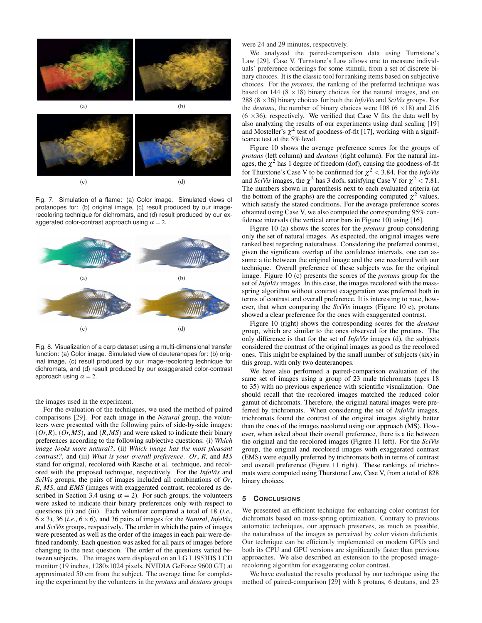![](_page_5_Figure_0.jpeg)

Fig. 7. Simulation of a flame: (a) Color image. Simulated views of protanopes for: (b) original image, (c) result produced by our imagerecoloring technique for dichromats, and (d) result produced by our exaggerated color-contrast approach using  $\alpha = 2$ .

![](_page_5_Figure_2.jpeg)

Fig. 8. Visualization of a carp dataset using a multi-dimensional transfer function: (a) Color image. Simulated view of deuteranopes for: (b) original image, (c) result produced by our image-recoloring technique for dichromats, and (d) result produced by our exaggerated color-contrast approach using  $\alpha = 2$ .

the images used in the experiment.

For the evaluation of the techniques, we used the method of paired comparisons [29]. For each image in the *Natural* group, the volunteers were presented with the following pairs of side-by-side images: (*Or*,*R*), (*Or*,*MS*), and (*R*,*MS*) and were asked to indicate their binary preferences according to the following subjective questions: (i) *Which image looks more natural?*, (ii) *Which image has the most pleasant contrast?*, and (iii) *What is your overall preference*. *Or*, *R*, and *MS* stand for original, recolored with Rasche et al. technique, and recolored with the proposed technique, respectively. For the *InfoVis* and *SciVis* groups, the pairs of images included all combinations of *Or*, *R*, *MS*, and *EMS* (images with exaggerated contrast, recolored as described in Section 3.4 using  $\alpha = 2$ ). For such groups, the volunteers were asked to indicate their binary preferences only with respect to questions (ii) and (iii). Each volunteer compared a total of 18 (*i.e.*,  $6 \times 3$ , 36 (*i.e.*,  $6 \times 6$ ), and 36 pairs of images for the *Natural*, *InfoVis*, and *SciVis* groups, respectively. The order in which the pairs of images were presented as well as the order of the images in each pair were defined randomly. Each question was asked for all pairs of images before changing to the next question. The order of the questions varied between subjects. The images were displayed on an LG L1953HS LCD monitor (19 inches, 1280x1024 pixels, NVIDIA GeForce 9600 GT) at approximated 50 cm from the subject. The average time for completing the experiment by the volunteers in the *protans* and *deutans* groups were 24 and 29 minutes, respectively.

We analyzed the paired-comparison data using Turnstone's Law [29], Case V. Turnstone's Law allows one to measure individuals' preference orderings for some stimuli, from a set of discrete binary choices. It is the classic tool for ranking items based on subjective choices. For the *protans*, the ranking of the preferred technique was based on 144 ( $8 \times 18$ ) binary choices for the natural images, and on 288 (8 ×36) binary choices for both the *InfoVis* and *SciVis* groups. For the *deutans*, the number of binary choices were 108 ( $6 \times 18$ ) and 216  $(6 \times 36)$ , respectively. We verified that Case V fits the data well by also analyzing the results of our experiments using dual scaling [19] and Mosteller's  $\chi^2$  test of goodness-of-fit [17], working with a significance test at the 5% level.

Figure 10 shows the average preference scores for the groups of *protans* (left column) and *deutans* (right column). For the natural images, the  $\chi^2$  has 1 degree of freedom (dof), causing the goodness-of-fit for Thurstone's Case V to be confirmed for  $\chi^2$  < 3.84. For the *InfoVis* and *SciVis* images, the  $\chi^2$  has 3 dofs, satisfying Case V for  $\chi^2$  < 7.81. The numbers shown in parenthesis next to each evaluated criteria (at the bottom of the graphs) are the corresponding computed  $\chi^2$  values, which satisfy the stated conditions. For the average preference scores obtained using Case V, we also computed the corresponding 95% confidence intervals (the vertical error bars in Figure 10) using [16].

Figure 10 (a) shows the scores for the *protans* group considering only the set of natural images. As expected, the original images were ranked best regarding naturalness. Considering the preferred contrast, given the significant overlap of the confidence intervals, one can assume a tie between the original image and the one recolored with our technique. Overall preference of these subjects was for the original image. Figure 10 (c) presents the scores of the *protans* group for the set of *InfoVis* images. In this case, the images recolored with the massspring algorithm without contrast exaggeration was preferred both in terms of contrast and overall preference. It is interesting to note, however, that when comparing the *SciVis* images (Figure 10 e), protans showed a clear preference for the ones with exaggerated contrast.

Figure 10 (right) shows the corresponding scores for the *deutans* group, which are similar to the ones observed for the protans. The only difference is that for the set of *InfoVis* images (d), the subjects considered the contrast of the original images as good as the recolored ones. This might be explained by the small number of subjects (six) in this group, with only two deuteranopes.

We have also performed a paired-comparison evaluation of the same set of images using a group of 23 male trichromats (ages 18 to 35) with no previous experience with scientific visualization. One should recall that the recolored images matched the reduced color gamut of dichromats. Therefore, the original natural images were preferred by trichromats. When considering the set of *InfoVis* images, trichromats found the contrast of the original images slightly better than the ones of the images recolored using our approach (MS). However, when asked about their overall preference, there is a tie between the original and the recolored images (Figure 11 left). For the *SciVis* group, the original and recolored images with exaggerated contrast (EMS) were equally preferred by trichromats both in terms of contrast and overall preference (Figure 11 right). These rankings of trichromats were computed using Thurstone Law, Case V, from a total of 828 binary choices.

### **5 CONCLUSIONS**

We presented an efficient technique for enhancing color contrast for dichromats based on mass-spring optimization. Contrary to previous automatic techniques, our approach preserves, as much as possible, the naturalness of the images as perceived by color vision deficients. Our technique can be efficiently implemented on modern GPUs and both its CPU and GPU versions are significantly faster than previous approaches. We also described an extension to the proposed imagerecoloring algorithm for exaggerating color contrast.

We have evaluated the results produced by our technique using the method of paired-comparison [29] with 8 protans, 6 deutans, and 23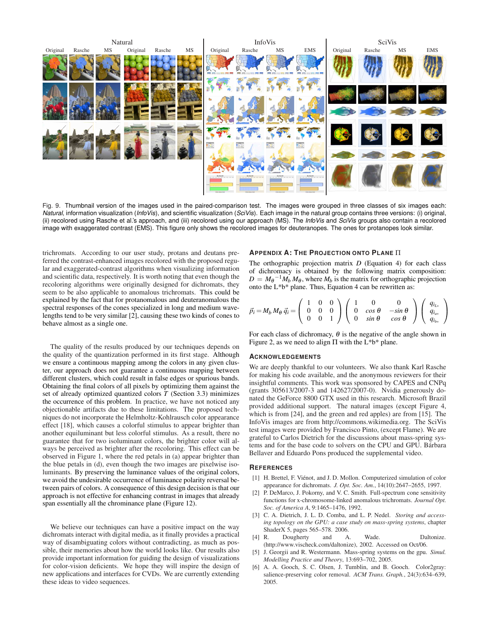![](_page_6_Figure_0.jpeg)

Fig. 9. Thumbnail version of the images used in the paired-comparison test. The images were grouped in three classes of six images each: *Natural*, information visualization (*InfoVis*), and scientific visualization (*SciVis*). Each image in the natural group contains three versions: (i) original, (ii) recolored using Rasche et al.'s approach, and (iii) recolored using our approach (MS). The *InfoVis* and *SciVis* groups also contain a recolored image with exaggerated contrast (EMS). This figure only shows the recolored images for deuteranopes. The ones for protanopes look similar.

trichromats. According to our user study, protans and deutans preferred the contrast-enhanced images recolored with the proposed regular and exaggerated-contrast algorithms when visualizing information and scientific data, respectively. It is worth noting that even though the recoloring algorithms were originally designed for dichromats, they seem to be also applicable to anomalous trichromats. This could be explained by the fact that for protanomalous and deuteranomalous the spectral responses of the cones specialized in long and medium wavelengths tend to be very similar [2], causing these two kinds of cones to behave almost as a single one.

The quality of the results produced by our techniques depends on the quality of the quantization performed in its first stage. Although we ensure a continuous mapping among the colors in any given cluster, our approach does not guarantee a continuous mapping between different clusters, which could result in false edges or spurious bands. Obtaining the final colors of all pixels by optimizing them against the set of already optimized quantized colors *T* (Section 3.3) minimizes the occurrence of this problem. In practice, we have not noticed any objectionable artifacts due to these limitations. The proposed techniques do not incorporate the Helmholtz-Kohlrausch color appearance effect [18], which causes a colorful stimulus to appear brighter than another equiluminant but less colorful stimulus. As a result, there no guarantee that for two isoluminant colors, the brighter color will always be perceived as brighter after the recoloring. This effect can be observed in Figure 1, where the red petals in (a) appear brighter than the blue petals in (d), even though the two images are pixelwise isoluminants. By preserving the luminance values of the original colors, we avoid the undesirable occurrence of luminance polarity reversal between pairs of colors. A consequence of this design decision is that our approach is not effective for enhancing contrast in images that already span essentially all the chrominance plane (Figure 12).

We believe our techniques can have a positive impact on the way dichromats interact with digital media, as it finally provides a practical way of disambiguating colors without contradicting, as much as possible, their memories about how the world looks like. Our results also provide important information for guiding the design of visualizations for color-vision deficients. We hope they will inspire the design of new applications and interfaces for CVDs. We are currently extending these ideas to video sequences.

#### **APPENDIX A: THE PROJECTION ONTO PLANE** Π

The orthographic projection matrix *D* (Equation 4) for each class of dichromacy is obtained by the following matrix composition:  $D = M_{\theta}^{-1} M_b M_{\theta}$ , where  $M_b$  is the matrix for orthographic projection onto the L\*b\* plane. Thus, Equation 4 can be rewritten as:

$$
\vec{p}_i = M_b M_\theta \, \vec{q}_i = \left( \begin{array}{ccc} 1 & 0 & 0 \\ 0 & 0 & 0 \\ 0 & 0 & 1 \end{array} \right) \left( \begin{array}{ccc} 1 & 0 & 0 \\ 0 & cos \theta & -sin \theta \\ 0 & sin \theta & cos \theta \end{array} \right) \left( \begin{array}{c} q_{i_{L*}} \\ q_{i_{a*}} \\ q_{i_{b*}} \end{array} \right)
$$

For each class of dichromacy,  $\theta$  is the negative of the angle shown in Figure 2, as we need to align  $\Pi$  with the L\*b\* plane.

#### **ACKNOWLEDGEMENTS**

We are deeply thankful to our volunteers. We also thank Karl Rasche for making his code available, and the anonymous reviewers for their insightful comments. This work was sponsored by CAPES and CNPq (grants 305613/2007-3 and 142627/2007-0). Nvidia generously donated the GeForce 8800 GTX used in this research. Microsoft Brazil provided additional support. The natural images (except Figure 4, which is from [24], and the green and red apples) are from [15]. The InfoVis images are from http://commons.wikimedia.org. The SciVis test images were provided by Francisco Pinto, (except Flame). We are grateful to Carlos Dietrich for the discussions about mass-spring systems and for the base code to solvers on the CPU and GPU. Bárbara Bellaver and Eduardo Pons produced the supplemental video.

### **REFERENCES**

- [1] H. Brettel, F. Viénot, and J. D. Mollon. Computerized simulation of color appearance for dichromats. *J. Opt. Soc. Am.*, 14(10):2647–2655, 1997.
- [2] P. DeMarco, J. Pokorny, and V. C. Smith. Full-spectrum cone sensitivity functions for x-chromosome-linked anomalous trichromats. *Journal Opt. Soc. of America A*, 9:1465–1476, 1992.
- [3] C. A. Dietrich, J. L. D. Comba, and L. P. Nedel. *Storing and accessing topology on the GPU: a case study on mass-spring systems*, chapter ShaderX 5, pages 565–578. 2006.
- [4] R. Dougherty and A. Wade. Daltonize. (http://www.vischeck.com/daltonize), 2002. Accessed on Oct/06.
- [5] J. Georgii and R. Westermann. Mass-spring systems on the gpu. *Simul. Modelling Practice and Theory*, 13:693–702, 2005.
- [6] A. A. Gooch, S. C. Olsen, J. Tumblin, and B. Gooch. Color2gray: salience-preserving color removal. *ACM Trans. Graph.*, 24(3):634–639, 2005.